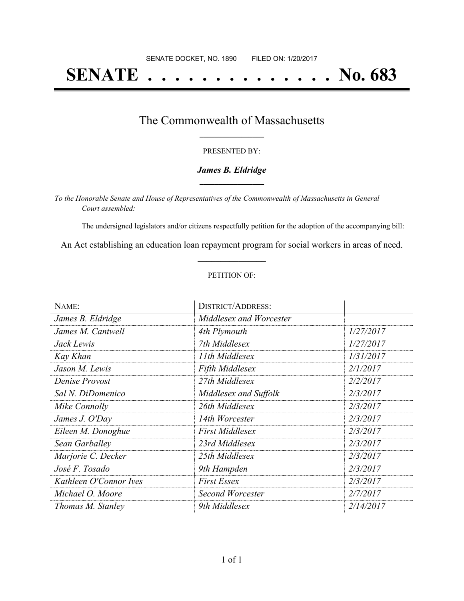# **SENATE . . . . . . . . . . . . . . No. 683**

### The Commonwealth of Massachusetts **\_\_\_\_\_\_\_\_\_\_\_\_\_\_\_\_\_**

#### PRESENTED BY:

#### *James B. Eldridge* **\_\_\_\_\_\_\_\_\_\_\_\_\_\_\_\_\_**

*To the Honorable Senate and House of Representatives of the Commonwealth of Massachusetts in General Court assembled:*

The undersigned legislators and/or citizens respectfully petition for the adoption of the accompanying bill:

An Act establishing an education loan repayment program for social workers in areas of need. **\_\_\_\_\_\_\_\_\_\_\_\_\_\_\_**

#### PETITION OF:

| NAME:                  | <b>DISTRICT/ADDRESS:</b> |           |
|------------------------|--------------------------|-----------|
| James B. Eldridge      | Middlesex and Worcester  |           |
| James M. Cantwell      | 4th Plymouth             | 1/27/2017 |
| Jack Lewis             | 7th Middlesex            | 1/27/2017 |
| Kay Khan               | 11th Middlesex           | 1/31/2017 |
| Jason M. Lewis         | <b>Fifth Middlesex</b>   | 2/1/2017  |
| Denise Provost         | 27th Middlesex           | 2/2/2017  |
| Sal N. DiDomenico      | Middlesex and Suffolk    | 2/3/2017  |
| Mike Connolly          | 26th Middlesex           | 2/3/2017  |
| James J. O'Day         | 14th Worcester           | 2/3/2017  |
| Eileen M. Donoghue     | <b>First Middlesex</b>   | 2/3/2017  |
| Sean Garballey         | 23rd Middlesex           | 2/3/2017  |
| Marjorie C. Decker     | 25th Middlesex           | 2/3/2017  |
| José F. Tosado         | 9th Hampden              | 2/3/2017  |
| Kathleen O'Connor Ives | <b>First Essex</b>       | 2/3/2017  |
| Michael O. Moore       | Second Worcester         | 2/7/2017  |
| Thomas M. Stanley      | 9th Middlesex            | 2/14/2017 |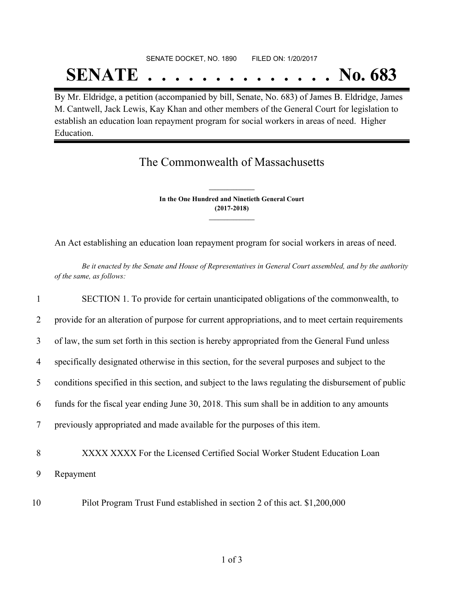## SENATE DOCKET, NO. 1890 FILED ON: 1/20/2017 **SENATE . . . . . . . . . . . . . . No. 683**

By Mr. Eldridge, a petition (accompanied by bill, Senate, No. 683) of James B. Eldridge, James M. Cantwell, Jack Lewis, Kay Khan and other members of the General Court for legislation to establish an education loan repayment program for social workers in areas of need. Higher Education.

## The Commonwealth of Massachusetts

**In the One Hundred and Ninetieth General Court (2017-2018) \_\_\_\_\_\_\_\_\_\_\_\_\_\_\_**

**\_\_\_\_\_\_\_\_\_\_\_\_\_\_\_**

An Act establishing an education loan repayment program for social workers in areas of need.

Be it enacted by the Senate and House of Representatives in General Court assembled, and by the authority *of the same, as follows:*

| $\mathbf{1}$   | SECTION 1. To provide for certain unanticipated obligations of the commonwealth, to                 |
|----------------|-----------------------------------------------------------------------------------------------------|
| 2              | provide for an alteration of purpose for current appropriations, and to meet certain requirements   |
| 3              | of law, the sum set forth in this section is hereby appropriated from the General Fund unless       |
| $\overline{4}$ | specifically designated otherwise in this section, for the several purposes and subject to the      |
| 5              | conditions specified in this section, and subject to the laws regulating the disbursement of public |
| 6              | funds for the fiscal year ending June 30, 2018. This sum shall be in addition to any amounts        |
| 7              | previously appropriated and made available for the purposes of this item.                           |
| 8              | XXXX XXXX For the Licensed Certified Social Worker Student Education Loan                           |
| 9              | Repayment                                                                                           |
| 10             | Pilot Program Trust Fund established in section 2 of this act. \$1,200,000                          |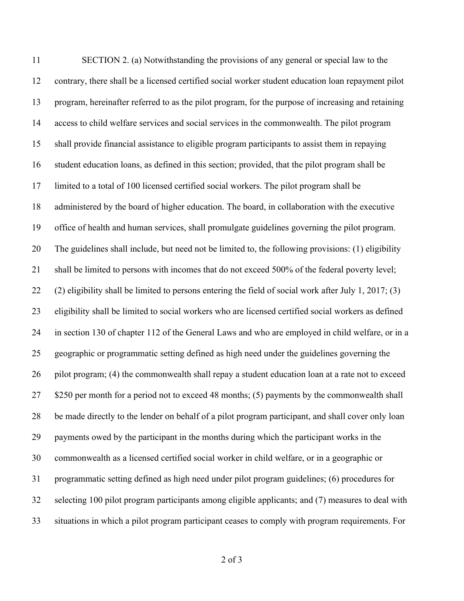SECTION 2. (a) Notwithstanding the provisions of any general or special law to the contrary, there shall be a licensed certified social worker student education loan repayment pilot program, hereinafter referred to as the pilot program, for the purpose of increasing and retaining access to child welfare services and social services in the commonwealth. The pilot program shall provide financial assistance to eligible program participants to assist them in repaying student education loans, as defined in this section; provided, that the pilot program shall be limited to a total of 100 licensed certified social workers. The pilot program shall be administered by the board of higher education. The board, in collaboration with the executive office of health and human services, shall promulgate guidelines governing the pilot program. The guidelines shall include, but need not be limited to, the following provisions: (1) eligibility shall be limited to persons with incomes that do not exceed 500% of the federal poverty level; (2) eligibility shall be limited to persons entering the field of social work after July 1, 2017; (3) eligibility shall be limited to social workers who are licensed certified social workers as defined in section 130 of chapter 112 of the General Laws and who are employed in child welfare, or in a geographic or programmatic setting defined as high need under the guidelines governing the pilot program; (4) the commonwealth shall repay a student education loan at a rate not to exceed 27 \$250 per month for a period not to exceed 48 months; (5) payments by the commonwealth shall be made directly to the lender on behalf of a pilot program participant, and shall cover only loan payments owed by the participant in the months during which the participant works in the commonwealth as a licensed certified social worker in child welfare, or in a geographic or programmatic setting defined as high need under pilot program guidelines; (6) procedures for selecting 100 pilot program participants among eligible applicants; and (7) measures to deal with situations in which a pilot program participant ceases to comply with program requirements. For

of 3